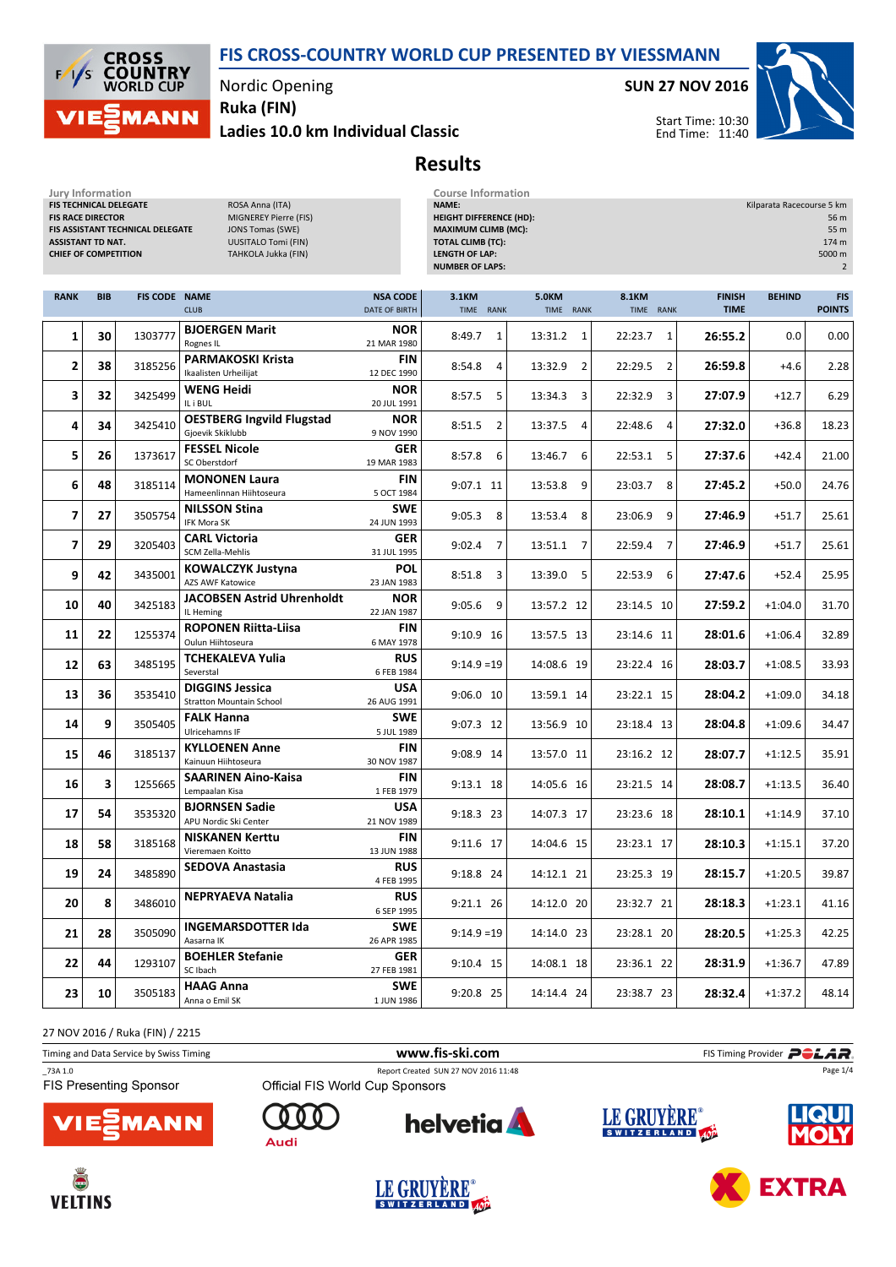

Nordic Opening

Ruka (FIN)

Ladies 10.0 km Individual Classic

SUN 27 NOV 2016



Start Time: 10:30 End Time: 11:40

## Results

| Jury Information<br>FIS TECHNICAL DELEGATE<br>ROSA Anna (ITA)<br><b>FIS RACE DIRECTOR</b><br>MIGNEREY Pierre (FIS)<br>FIS ASSISTANT TECHNICAL DELEGATE<br><b>JONS Tomas (SWE)</b><br><b>UUSITALO Tomi (FIN)</b><br><b>ASSISTANT TD NAT.</b><br><b>CHIEF OF COMPETITION</b><br>TAHKOLA Jukka (FIN) |            |                      |                                                           |                                  | <b>Course Information</b><br>NAME:<br>Kilparata Racecourse 5 km<br><b>HEIGHT DIFFERENCE (HD):</b><br>56 m<br><b>MAXIMUM CLIMB (MC):</b><br>55 m<br><b>TOTAL CLIMB (TC):</b><br>174 m<br><b>LENGTH OF LAP:</b><br>5000 m<br><b>NUMBER OF LAPS:</b> |                           |                           |                              |               |                             |
|---------------------------------------------------------------------------------------------------------------------------------------------------------------------------------------------------------------------------------------------------------------------------------------------------|------------|----------------------|-----------------------------------------------------------|----------------------------------|---------------------------------------------------------------------------------------------------------------------------------------------------------------------------------------------------------------------------------------------------|---------------------------|---------------------------|------------------------------|---------------|-----------------------------|
| <b>RANK</b>                                                                                                                                                                                                                                                                                       | <b>BIB</b> | <b>FIS CODE NAME</b> | <b>CLUB</b>                                               | <b>NSA CODE</b><br>DATE OF BIRTH | 3.1KM<br>TIME RANK                                                                                                                                                                                                                                | <b>5.0KM</b><br>TIME RANK | 8.1KM<br>TIME RANK        | <b>FINISH</b><br><b>TIME</b> | <b>BEHIND</b> | <b>FIS</b><br><b>POINTS</b> |
| 1                                                                                                                                                                                                                                                                                                 | 30         | 1303777              | <b>BJOERGEN Marit</b><br>Rognes IL                        | <b>NOR</b><br>21 MAR 1980        | 8:49.7<br>1                                                                                                                                                                                                                                       | 13:31.2<br>1              | 22:23.7<br>1              | 26:55.2                      | 0.0           | 0.00                        |
| $\mathbf{2}$                                                                                                                                                                                                                                                                                      | 38         | 3185256              | <b>PARMAKOSKI Krista</b><br>Ikaalisten Urheilijat         | FIN<br>12 DEC 1990               | 8:54.8<br>$\overline{4}$                                                                                                                                                                                                                          | 13:32.9<br>2              | $\overline{2}$<br>22:29.5 | 26:59.8                      | $+4.6$        | 2.28                        |
| 3                                                                                                                                                                                                                                                                                                 | 32         | 3425499              | <b>WENG Heidi</b><br>IL i BUL                             | <b>NOR</b><br>20 JUL 1991        | 5<br>8:57.5                                                                                                                                                                                                                                       | 3<br>13:34.3              | 22:32.9<br>3              | 27:07.9                      | $+12.7$       | 6.29                        |
| 4                                                                                                                                                                                                                                                                                                 | 34         | 3425410              | <b>OESTBERG Ingvild Flugstad</b><br>Gjoevik Skiklubb      | <b>NOR</b><br>9 NOV 1990         | 8:51.5<br>$\overline{2}$                                                                                                                                                                                                                          | 13:37.5<br>4              | 22:48.6<br>4              | 27:32.0                      | $+36.8$       | 18.23                       |
| 5                                                                                                                                                                                                                                                                                                 | 26         | 1373617              | <b>FESSEL Nicole</b><br>SC Oberstdorf                     | <b>GER</b><br>19 MAR 1983        | $8:57.8$ 6                                                                                                                                                                                                                                        | 13:46.7<br>6              | 22:53.1 5                 | 27:37.6                      | $+42.4$       | 21.00                       |
| 6                                                                                                                                                                                                                                                                                                 | 48         | 3185114              | <b>MONONEN Laura</b><br>Hameenlinnan Hiihtoseura          | <b>FIN</b><br>5 OCT 1984         | 9:07.1 11                                                                                                                                                                                                                                         | 9<br>13:53.8              | 8<br>23:03.7              | 27:45.2                      | $+50.0$       | 24.76                       |
| 7                                                                                                                                                                                                                                                                                                 | 27         | 3505754              | <b>NILSSON Stina</b><br>IFK Mora SK                       | <b>SWE</b><br>24 JUN 1993        | 9:05.3<br>8                                                                                                                                                                                                                                       | 13:53.4<br>8              | 23:06.9<br>9              | 27:46.9                      | $+51.7$       | 25.61                       |
| $\overline{\phantom{a}}$                                                                                                                                                                                                                                                                          | 29         | 3205403              | <b>CARL Victoria</b><br>SCM Zella-Mehlis                  | <b>GER</b><br>31 JUL 1995        | 9:02.4<br>$\overline{7}$                                                                                                                                                                                                                          | 13:51.1<br>7              | 22:59.4<br>$\overline{7}$ | 27:46.9                      | $+51.7$       | 25.61                       |
| 9                                                                                                                                                                                                                                                                                                 | 42         | 3435001              | <b>KOWALCZYK Justyna</b><br><b>AZS AWF Katowice</b>       | <b>POL</b><br>23 JAN 1983        | 8:51.8<br>3                                                                                                                                                                                                                                       | 5<br>13:39.0              | 22:53.9<br>6              | 27:47.6                      | $+52.4$       | 25.95                       |
| 10                                                                                                                                                                                                                                                                                                | 40         | 3425183              | <b>JACOBSEN Astrid Uhrenholdt</b><br>IL Heming            | <b>NOR</b><br>22 JAN 1987        | 9:05.6<br>9                                                                                                                                                                                                                                       | 13:57.2 12                | 23:14.5 10                | 27:59.2                      | $+1:04.0$     | 31.70                       |
| 11                                                                                                                                                                                                                                                                                                | 22         | 1255374              | <b>ROPONEN Riitta-Liisa</b><br>Oulun Hiihtoseura          | <b>FIN</b><br>6 MAY 1978         | 9:10.9 16                                                                                                                                                                                                                                         | 13:57.5 13                | 23:14.6 11                | 28:01.6                      | $+1:06.4$     | 32.89                       |
| 12                                                                                                                                                                                                                                                                                                | 63         | 3485195              | <b>TCHEKALEVA Yulia</b><br>Severstal                      | <b>RUS</b><br>6 FEB 1984         | $9:14.9=19$                                                                                                                                                                                                                                       | 14:08.6 19                | 23:22.4 16                | 28:03.7                      | $+1:08.5$     | 33.93                       |
| 13                                                                                                                                                                                                                                                                                                | 36         | 3535410              | <b>DIGGINS Jessica</b><br><b>Stratton Mountain School</b> | <b>USA</b><br>26 AUG 1991        | 9:06.0 10                                                                                                                                                                                                                                         | 13:59.1 14                | 23:22.1 15                | 28:04.2                      | $+1:09.0$     | 34.18                       |
| 14                                                                                                                                                                                                                                                                                                | 9          | 3505405              | <b>FALK Hanna</b><br>Ulricehamns IF                       | <b>SWE</b><br>5 JUL 1989         | 9:07.3 12                                                                                                                                                                                                                                         | 13:56.9 10                | 23:18.4 13                | 28:04.8                      | $+1:09.6$     | 34.47                       |
| 15                                                                                                                                                                                                                                                                                                | 46         | 3185137              | <b>KYLLOENEN Anne</b><br>Kainuun Hiihtoseura              | <b>FIN</b><br>30 NOV 1987        | 9:08.9 14                                                                                                                                                                                                                                         | 13:57.0 11                | 23:16.2 12                | 28:07.7                      | $+1:12.5$     | 35.91                       |
| 16                                                                                                                                                                                                                                                                                                | 3          | 1255665              | <b>SAARINEN Aino-Kaisa</b><br>Lempaalan Kisa              | <b>FIN</b><br>1 FEB 1979         | 9:13.1 18                                                                                                                                                                                                                                         | 14:05.6 16                | 23:21.5 14                | 28:08.7                      | $+1:13.5$     | 36.40                       |
| 17                                                                                                                                                                                                                                                                                                | 54         | 3535320              | <b>BJORNSEN Sadie</b><br>APU Nordic Ski Center            | <b>USA</b><br>21 NOV 1989        | 9:18.3 23                                                                                                                                                                                                                                         | 14:07.3 17                | 23:23.6 18                | 28:10.1                      | $+1:14.9$     | 37.10                       |
| 18                                                                                                                                                                                                                                                                                                | 58         | 3185168              | <b>NISKANEN Kerttu</b><br>Vieremaen Koitto                | FIN<br>13 JUN 1988               | 9:11.6 17                                                                                                                                                                                                                                         | 14:04.6 15                | 23:23.1 17                | 28:10.3                      | $+1:15.1$     | 37.20                       |
| 19                                                                                                                                                                                                                                                                                                | 24         | 3485890              | <b>SEDOVA Anastasia</b>                                   | <b>RUS</b><br>4 FEB 1995         | 9:18.8 24                                                                                                                                                                                                                                         | 14:12.1 21                | 23:25.3 19                | 28:15.7                      | $+1:20.5$     | 39.87                       |
| 20                                                                                                                                                                                                                                                                                                | 8          | 3486010              | NEPRYAEVA Natalia                                         | <b>RUS</b><br>6 SEP 1995         | 9:21.1 26                                                                                                                                                                                                                                         | 14:12.0 20                | 23:32.7 21                | 28:18.3                      | $+1:23.1$     | 41.16                       |
| 21                                                                                                                                                                                                                                                                                                | 28         | 3505090              | <b>INGEMARSDOTTER Ida</b><br>Aasarna IK                   | SWE<br>26 APR 1985               | $9:14.9 = 19$                                                                                                                                                                                                                                     | 14:14.0 23                | 23:28.1 20                | 28:20.5                      | $+1:25.3$     | 42.25                       |
| 22                                                                                                                                                                                                                                                                                                | 44         | 1293107              | <b>BOEHLER Stefanie</b><br>SC Ibach                       | <b>GER</b><br>27 FEB 1981        | 9:10.4 15                                                                                                                                                                                                                                         | 14:08.1 18                | 23:36.1 22                | 28:31.9                      | $+1:36.7$     | 47.89                       |
| 23                                                                                                                                                                                                                                                                                                | 10         | 3505183              | <b>HAAG Anna</b><br>Anna o Emil SK                        | <b>SWE</b><br>1 JUN 1986         | 9:20.8 25                                                                                                                                                                                                                                         | 14:14.4 24                | 23:38.7 23                | 28:32.4                      | $+1:37.2$     | 48.14                       |

27 NOV 2016 / Ruka (FIN) / 2215

| Timing and Data Service by Swiss Timing |                                 | www.fis-ski.com                      | FIS Timing Provider <b>POLAR</b> |          |  |  |
|-----------------------------------------|---------------------------------|--------------------------------------|----------------------------------|----------|--|--|
| 73A 1.0                                 |                                 | Report Created SUN 27 NOV 2016 11:48 |                                  | Page 1/4 |  |  |
| <b>FIS Presenting Sponsor</b>           | Official FIS World Cup Sponsors |                                      |                                  |          |  |  |
| <b>VIE EMANN</b>                        | Audi                            | <b>helvetia</b>                      | LE GRUYÈRE®                      | LIQUI    |  |  |

LE GRUYÈRE®











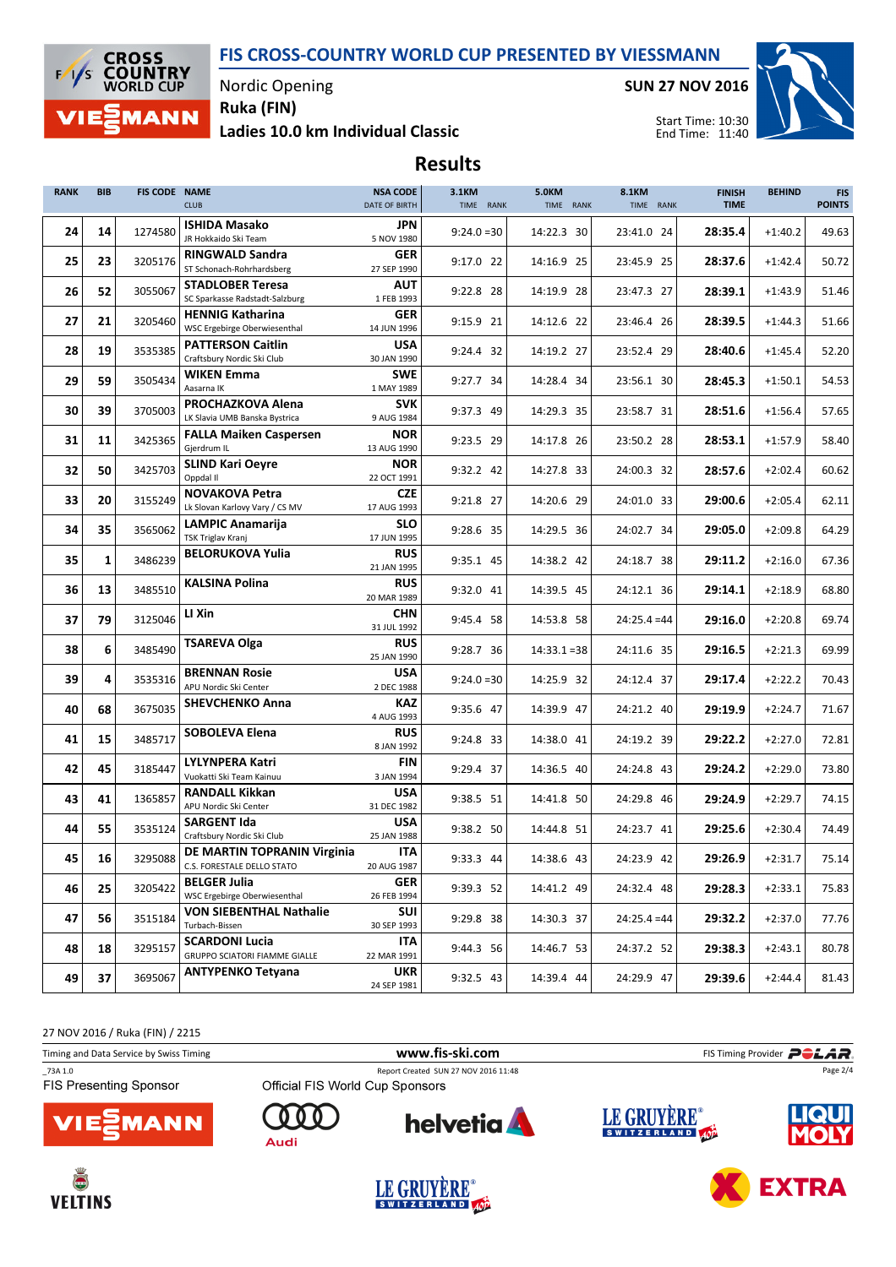

Nordic Opening

Ladies 10.0 km Individual Classic Ruka (FIN)

SUN 27 NOV 2016



Start Time: 10:30 End Time: 11:40

# Results

| <b>RANK</b> | <b>BIB</b> | FIS CODE NAME | <b>CLUB</b>                                               | <b>NSA CODE</b><br>DATE OF BIRTH | 3.1KM<br>TIME RANK | <b>5.0KM</b><br>TIME RANK | <b>8.1KM</b><br>TIME RANK | <b>FINISH</b><br><b>TIME</b> | <b>BEHIND</b> | <b>FIS</b><br><b>POINTS</b> |
|-------------|------------|---------------|-----------------------------------------------------------|----------------------------------|--------------------|---------------------------|---------------------------|------------------------------|---------------|-----------------------------|
| 24          | 14         | 1274580       | <b>ISHIDA Masako</b><br>JR Hokkaido Ski Team              | JPN<br>5 NOV 1980                | $9:24.0=30$        | 14:22.3 30                | 23:41.0 24                | 28:35.4                      | $+1:40.2$     | 49.63                       |
| 25          | 23         | 3205176       | <b>RINGWALD Sandra</b><br>ST Schonach-Rohrhardsberg       | <b>GER</b><br>27 SEP 1990        | 9:17.0 22          | 14:16.9 25                | 23:45.9 25                | 28:37.6                      | $+1:42.4$     | 50.72                       |
| 26          | 52         | 3055067       | <b>STADLOBER Teresa</b>                                   | <b>AUT</b>                       | 9:22.8 28          | 14:19.9 28                | 23:47.3 27                | 28:39.1                      | $+1:43.9$     | 51.46                       |
|             | 21         |               | SC Sparkasse Radstadt-Salzburg<br><b>HENNIG Katharina</b> | 1 FEB 1993<br><b>GER</b>         |                    |                           |                           |                              |               |                             |
| 27          |            | 3205460       | WSC Ergebirge Oberwiesenthal<br><b>PATTERSON Caitlin</b>  | 14 JUN 1996<br><b>USA</b>        | 9:15.9 21          | 14:12.6 22                | 23:46.4 26                | 28:39.5                      | $+1:44.3$     | 51.66                       |
| 28          | 19         | 3535385       | Craftsbury Nordic Ski Club                                | 30 JAN 1990                      | 9:24.4 32          | 14:19.2 27                | 23:52.4 29                | 28:40.6                      | $+1:45.4$     | 52.20                       |
| 29          | 59         | 3505434       | <b>WIKEN Emma</b><br>Aasarna IK                           | <b>SWE</b><br>1 MAY 1989         | 9:27.7 34          | 14:28.4 34                | 23:56.1 30                | 28:45.3                      | $+1:50.1$     | 54.53                       |
| 30          | 39         | 3705003       | PROCHAZKOVA Alena<br>LK Slavia UMB Banska Bystrica        | <b>SVK</b><br>9 AUG 1984         | 9:37.3 49          | 14:29.3 35                | 23:58.7 31                | 28:51.6                      | $+1:56.4$     | 57.65                       |
| 31          | 11         | 3425365       | <b>FALLA Maiken Caspersen</b>                             | <b>NOR</b>                       | 9:23.5 29          | 14:17.8 26                | 23:50.2 28                | 28:53.1                      | $+1:57.9$     | 58.40                       |
| 32          | 50         | 3425703       | Gjerdrum IL<br><b>SLIND Kari Oeyre</b>                    | 13 AUG 1990<br><b>NOR</b>        | 9:32.2 42          | 14:27.8 33                | 24:00.3 32                | 28:57.6                      | $+2:02.4$     | 60.62                       |
|             |            |               | Oppdal II<br><b>NOVAKOVA Petra</b>                        | 22 OCT 1991<br><b>CZE</b>        |                    |                           |                           |                              |               |                             |
| 33          | 20         | 3155249       | Lk Slovan Karlovy Vary / CS MV                            | 17 AUG 1993                      | 9:21.8 27          | 14:20.6 29                | 24:01.0 33                | 29:00.6                      | $+2:05.4$     | 62.11                       |
| 34          | 35         | 3565062       | <b>LAMPIC Anamarija</b><br>TSK Triglav Kranj              | <b>SLO</b><br>17 JUN 1995        | 9:28.6 35          | 14:29.5 36                | 24:02.7 34                | 29:05.0                      | $+2:09.8$     | 64.29                       |
| 35          | 1          | 3486239       | <b>BELORUKOVA Yulia</b>                                   | <b>RUS</b><br>21 JAN 1995        | 9:35.1 45          | 14:38.2 42                | 24:18.7 38                | 29:11.2                      | $+2:16.0$     | 67.36                       |
| 36          | 13         | 3485510       | <b>KALSINA Polina</b>                                     | <b>RUS</b><br>20 MAR 1989        | 9:32.0 41          | 14:39.5 45                | 24:12.1 36                | 29:14.1                      | $+2:18.9$     | 68.80                       |
| 37          | 79         | 3125046       | LI Xin                                                    | <b>CHN</b><br>31 JUL 1992        | 9:45.4 58          | 14:53.8 58                | $24:25.4 = 44$            | 29:16.0                      | $+2:20.8$     | 69.74                       |
| 38          | 6          | 3485490       | <b>TSAREVA Olga</b>                                       | <b>RUS</b><br>25 JAN 1990        | 9:28.7 36          | $14:33.1 = 38$            | 24:11.6 35                | 29:16.5                      | $+2:21.3$     | 69.99                       |
| 39          | 4          | 3535316       | <b>BRENNAN Rosie</b><br>APU Nordic Ski Center             | <b>USA</b><br>2 DEC 1988         | $9:24.0=30$        | 14:25.9 32                | 24:12.4 37                | 29:17.4                      | $+2:22.2$     | 70.43                       |
| 40          | 68         | 3675035       | <b>SHEVCHENKO Anna</b>                                    | <b>KAZ</b><br>4 AUG 1993         | 9:35.6 47          | 14:39.9 47                | 24:21.2 40                | 29:19.9                      | $+2:24.7$     | 71.67                       |
| 41          | 15         | 3485717       | <b>SOBOLEVA Elena</b>                                     | <b>RUS</b><br>8 JAN 1992         | 9:24.8 33          | 14:38.0 41                | 24:19.2 39                | 29:22.2                      | $+2:27.0$     | 72.81                       |
| 42          | 45         | 3185447       | <b>LYLYNPERA Katri</b>                                    | <b>FIN</b>                       | 9:29.4 37          | 14:36.5 40                | 24:24.8 43                | 29:24.2                      | $+2:29.0$     | 73.80                       |
|             |            |               | Vuokatti Ski Team Kainuu<br><b>RANDALL Kikkan</b>         | 3 JAN 1994<br><b>USA</b>         |                    |                           |                           |                              |               |                             |
| 43          | 41         | 1365857       | APU Nordic Ski Center                                     | 31 DEC 1982                      | 9:38.5 51          | 14:41.8 50                | 24:29.8 46                | 29:24.9                      | $+2:29.7$     | 74.15                       |
| 44          | 55         | 3535124       | <b>SARGENT Ida</b><br>Craftsbury Nordic Ski Club          | <b>USA</b><br>25 JAN 1988        | 9:38.2 50          | 14:44.8 51                | 24:23.7 41                | 29:25.6                      | $+2:30.4$     | 74.49                       |
| 45          | 16         | 3295088       | DE MARTIN TOPRANIN Virginia<br>C.S. FORESTALE DELLO STATO | <b>ITA</b><br>20 AUG 1987        | 9:33.3 44          | 14:38.6 43                | 24:23.9 42                | 29:26.9                      | $+2:31.7$     | 75.14                       |
| 46          | 25         | 3205422       | <b>BELGER Julia</b><br>WSC Ergebirge Oberwiesenthal       | GER<br>26 FEB 1994               | 9:39.3 52          | 14:41.2 49                | 24:32.4 48                | 29:28.3                      | $+2:33.1$     | 75.83                       |
| 47          | 56         | 3515184       | VON SIEBENTHAL Nathalie<br>Turbach-Bissen                 | SUI<br>30 SEP 1993               | 9:29.8 38          | 14:30.3 37                | $24:25.4 = 44$            | 29:32.2                      | $+2:37.0$     | 77.76                       |
| 48          | 18         | 3295157       | <b>SCARDONI Lucia</b>                                     | ITA                              | 9:44.3 56          | 14:46.7 53                | 24:37.2 52                | 29:38.3                      | $+2:43.1$     | 80.78                       |
|             |            |               | GRUPPO SCIATORI FIAMME GIALLE<br><b>ANTYPENKO Tetyana</b> | 22 MAR 1991<br><b>UKR</b>        |                    |                           |                           |                              |               |                             |
| 49          | 37         | 3695067       |                                                           | 24 SEP 1981                      | 9:32.5 43          | 14:39.4 44                | 24:29.9 47                | 29:39.6                      | $+2:44.4$     | 81.43                       |

27 NOV 2016 / Ruka (FIN) / 2215

| Timing and Data Service by Swiss Timing  |                                 | www.fis-ski.com                      |             | FIS Timing Provider <b>POLAR</b> |  |  |  |
|------------------------------------------|---------------------------------|--------------------------------------|-------------|----------------------------------|--|--|--|
| 73A 1.0<br><b>FIS Presenting Sponsor</b> | Official FIS World Cup Sponsors | Report Created SUN 27 NOV 2016 11:48 |             | Page 2/4                         |  |  |  |
| VIE <sub>5</sub> <sup>5</sup> MANN       | Audi                            | <b>helvetia</b>                      | LE GRUYÈRE® |                                  |  |  |  |





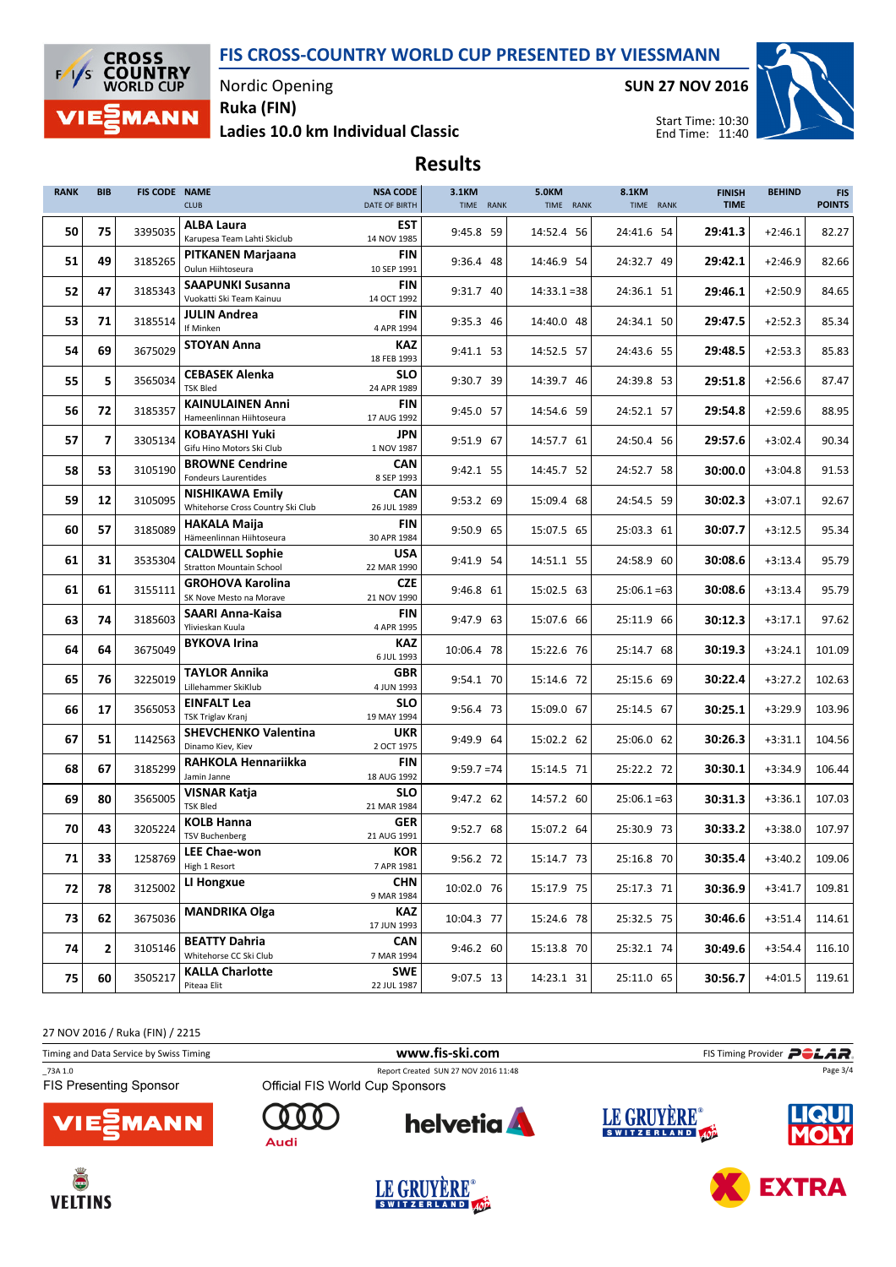

Nordic Opening

Ladies 10.0 km Individual Classic Ruka (FIN)

SUN 27 NOV 2016



**EXTRA** 

Start Time: 10:30 End Time: 11:40

## Results

| <b>RANK</b> | <b>BIB</b> | FIS CODE NAME | <b>CLUB</b>                                                 | <b>NSA CODE</b><br>DATE OF BIRTH | 3.1KM<br>TIME RANK | <b>5.0KM</b><br>TIME RANK | 8.1KM<br>TIME RANK | <b>FINISH</b><br><b>TIME</b> | <b>BEHIND</b> | <b>FIS</b><br><b>POINTS</b> |
|-------------|------------|---------------|-------------------------------------------------------------|----------------------------------|--------------------|---------------------------|--------------------|------------------------------|---------------|-----------------------------|
| 50          | 75         | 3395035       | ALBA Laura<br>Karupesa Team Lahti Skiclub                   | EST<br>14 NOV 1985               | 9:45.8 59          | 14:52.4 56                | 24:41.6 54         | 29:41.3                      | $+2:46.1$     | 82.27                       |
| 51          | 49         | 3185265       | PITKANEN Marjaana<br>Oulun Hiihtoseura                      | <b>FIN</b><br>10 SEP 1991        | 9:36.4 48          | 14:46.9 54                | 24:32.7 49         | 29:42.1                      | $+2:46.9$     | 82.66                       |
| 52          | 47         | 3185343       | <b>SAAPUNKI Susanna</b><br>Vuokatti Ski Team Kainuu         | <b>FIN</b><br>14 OCT 1992        | 9:31.7 40          | $14:33.1 = 38$            | 24:36.1 51         | 29:46.1                      | $+2:50.9$     | 84.65                       |
| 53          | 71         | 3185514       | <b>JULIN Andrea</b><br>If Minken                            | <b>FIN</b><br>4 APR 1994         | 9:35.3 46          | 14:40.0 48                | 24:34.1 50         | 29:47.5                      | $+2:52.3$     | 85.34                       |
| 54          | 69         | 3675029       | <b>STOYAN Anna</b>                                          | <b>KAZ</b><br>18 FEB 1993        | 9:41.1 53          | 14:52.5 57                | 24:43.6 55         | 29:48.5                      | $+2:53.3$     | 85.83                       |
| 55          | 5          | 3565034       | <b>CEBASEK Alenka</b><br><b>TSK Bled</b>                    | <b>SLO</b><br>24 APR 1989        | 9:30.7 39          | 14:39.7 46                | 24:39.8 53         | 29:51.8                      | $+2:56.6$     | 87.47                       |
| 56          | 72         | 3185357       | <b>KAINULAINEN Anni</b><br>Hameenlinnan Hiihtoseura         | <b>FIN</b><br>17 AUG 1992        | 9:45.0 57          | 14:54.6 59                | 24:52.1 57         | 29:54.8                      | $+2:59.6$     | 88.95                       |
| 57          | 7          | 3305134       | <b>KOBAYASHI Yuki</b><br>Gifu Hino Motors Ski Club          | JPN<br>1 NOV 1987                | 9:51.9 67          | 14:57.7 61                | 24:50.4 56         | 29:57.6                      | $+3:02.4$     | 90.34                       |
| 58          | 53         | 3105190       | <b>BROWNE Cendrine</b><br><b>Fondeurs Laurentides</b>       | <b>CAN</b><br>8 SEP 1993         | 9:42.1 55          | 14:45.7 52                | 24:52.7 58         | 30:00.0                      | $+3:04.8$     | 91.53                       |
| 59          | 12         | 3105095       | <b>NISHIKAWA Emily</b><br>Whitehorse Cross Country Ski Club | CAN<br>26 JUL 1989               | 9:53.2 69          | 15:09.4 68                | 24:54.5 59         | 30:02.3                      | $+3:07.1$     | 92.67                       |
| 60          | 57         | 3185089       | <b>HAKALA Maija</b><br>Hämeenlinnan Hiihtoseura             | <b>FIN</b><br>30 APR 1984        | 9:50.9 65          | 15:07.5 65                | 25:03.3 61         | 30:07.7                      | $+3:12.5$     | 95.34                       |
| 61          | 31         | 3535304       | <b>CALDWELL Sophie</b><br><b>Stratton Mountain School</b>   | <b>USA</b><br>22 MAR 1990        | 9:41.9 54          | 14:51.1 55                | 24:58.9 60         | 30:08.6                      | $+3:13.4$     | 95.79                       |
| 61          | 61         | 3155111       | <b>GROHOVA Karolina</b><br>SK Nove Mesto na Morave          | <b>CZE</b><br>21 NOV 1990        | 9:46.8 61          | 15:02.5 63                | $25:06.1 = 63$     | 30:08.6                      | $+3:13.4$     | 95.79                       |
| 63          | 74         | 3185603       | SAARI Anna-Kaisa<br>Ylivieskan Kuula                        | FIN<br>4 APR 1995                | 9:47.9 63          | 15:07.6 66                | 25:11.9 66         | 30:12.3                      | $+3:17.1$     | 97.62                       |
| 64          | 64         | 3675049       | <b>BYKOVA Irina</b>                                         | <b>KAZ</b><br>6 JUL 1993         | 10:06.4 78         | 15:22.6 76                | 25:14.7 68         | 30:19.3                      | $+3:24.1$     | 101.09                      |
| 65          | 76         | 3225019       | <b>TAYLOR Annika</b><br>Lillehammer SkiKlub                 | <b>GBR</b><br>4 JUN 1993         | 9:54.1 70          | 15:14.6 72                | 25:15.6 69         | 30:22.4                      | $+3:27.2$     | 102.63                      |
| 66          | 17         | 3565053       | <b>EINFALT Lea</b><br><b>TSK Triglav Kranj</b>              | <b>SLO</b><br>19 MAY 1994        | 9:56.4 73          | 15:09.0 67                | 25:14.5 67         | 30:25.1                      | $+3:29.9$     | 103.96                      |
| 67          | 51         | 1142563       | <b>SHEVCHENKO Valentina</b><br>Dinamo Kiev, Kiev            | <b>UKR</b><br>2 OCT 1975         | 9:49.9 64          | 15:02.2 62                | 25:06.0 62         | 30:26.3                      | $+3:31.1$     | 104.56                      |
| 68          | 67         | 3185299       | RAHKOLA Hennariikka<br>Jamin Janne                          | <b>FIN</b><br>18 AUG 1992        | $9:59.7 = 74$      | 15:14.5 71                | 25:22.2 72         | 30:30.1                      | $+3:34.9$     | 106.44                      |
| 69          | 80         | 3565005       | <b>VISNAR Katja</b><br><b>TSK Bled</b>                      | <b>SLO</b><br>21 MAR 1984        | 9:47.2 62          | 14:57.2 60                | $25:06.1 = 63$     | 30:31.3                      | $+3:36.1$     | 107.03                      |
| 70          | 43         | 3205224       | <b>KOLB Hanna</b><br><b>TSV Buchenberg</b>                  | <b>GER</b><br>21 AUG 1991        | 9:52.7 68          | 15:07.2 64                | 25:30.9 73         | 30:33.2                      | $+3:38.0$     | 107.97                      |
| 71          | 33         | 1258769       | <b>LEE Chae-won</b><br>High 1 Resort                        | <b>KOR</b><br>7 APR 1981         | 9:56.2 72          | 15:14.7 73                | 25:16.8 70         | 30:35.4                      | $+3:40.2$     | 109.06                      |
| 72          | 78         | 3125002       | LI Hongxue                                                  | <b>CHN</b><br>9 MAR 1984         | 10:02.0 76         | 15:17.9 75                | 25:17.3 71         | 30:36.9                      | $+3:41.7$     | 109.81                      |
| 73          | 62         | 3675036       | <b>MANDRIKA Olga</b>                                        | <b>KAZ</b><br>17 JUN 1993        | 10:04.3 77         | 15:24.6 78                | 25:32.5 75         | 30:46.6                      | $+3:51.4$     | 114.61                      |
| 74          | 2          | 3105146       | <b>BEATTY Dahria</b><br>Whitehorse CC Ski Club              | CAN<br>7 MAR 1994                | 9:46.2 60          | 15:13.8 70                | 25:32.1 74         | 30:49.6                      | $+3:54.4$     | 116.10                      |
| 75          | 60         | 3505217       | <b>KALLA Charlotte</b><br>Piteaa Elit                       | <b>SWE</b><br>22 JUL 1987        | 9:07.5 13          | 14:23.1 31                | 25:11.0 65         | 30:56.7                      | $+4:01.5$     | 119.61                      |

27 NOV 2016 / Ruka (FIN) / 2215

| Timing and Data Service by Swiss Timing |                                 | www.fis-ski.com                      |             | FIS Timing Provider <b>POLAR</b> |
|-----------------------------------------|---------------------------------|--------------------------------------|-------------|----------------------------------|
| 73A 1.0                                 |                                 | Report Created SUN 27 NOV 2016 11:48 |             | Page 3/4                         |
| <b>FIS Presenting Sponsor</b>           | Official FIS World Cup Sponsors |                                      |             |                                  |
| <b>VIESMANN</b>                         | Audi                            | <b>helvetia</b>                      | LE GRUYERE® | <b>LIQUI</b>                     |